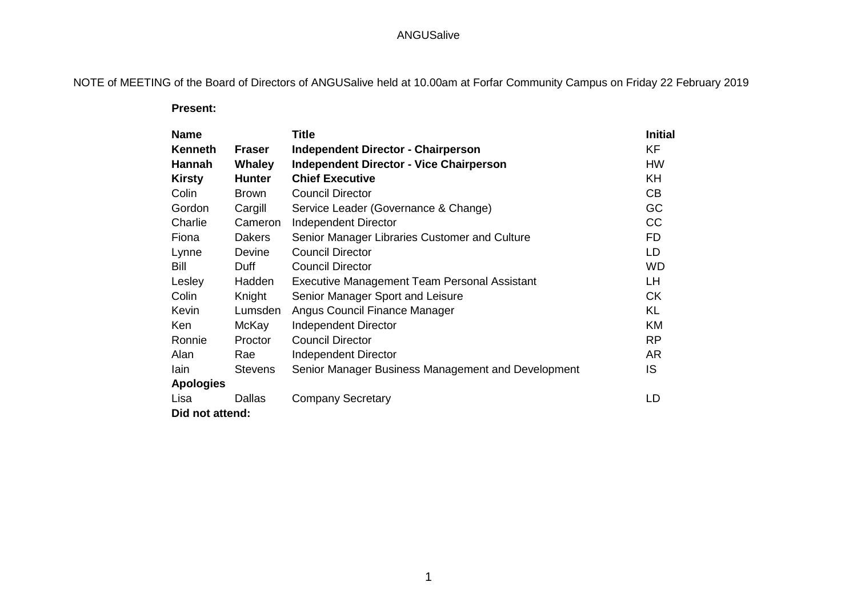# ANGUSalive

NOTE of MEETING of the Board of Directors of ANGUSalive held at 10.00am at Forfar Community Campus on Friday 22 February 2019

 **Present:**

| <b>Name</b>      |                | <b>Title</b>                                        | <b>Initial</b> |
|------------------|----------------|-----------------------------------------------------|----------------|
| <b>Kenneth</b>   | <b>Fraser</b>  | <b>Independent Director - Chairperson</b>           | <b>KF</b>      |
| Hannah           | <b>Whaley</b>  | <b>Independent Director - Vice Chairperson</b>      | <b>HW</b>      |
| <b>Kirsty</b>    | <b>Hunter</b>  | <b>Chief Executive</b>                              | KH             |
| Colin            | <b>Brown</b>   | <b>Council Director</b>                             | CB             |
| Gordon           | Cargill        | Service Leader (Governance & Change)                | GC             |
| Charlie          | Cameron        | Independent Director                                | CC             |
| Fiona            | <b>Dakers</b>  | Senior Manager Libraries Customer and Culture       | <b>FD</b>      |
| Lynne            | Devine         | <b>Council Director</b>                             | LD             |
| Bill             | Duff           | <b>Council Director</b>                             | <b>WD</b>      |
| Lesley           | Hadden         | <b>Executive Management Team Personal Assistant</b> | LH.            |
| Colin            | Knight         | Senior Manager Sport and Leisure                    | <b>CK</b>      |
| Kevin            | Lumsden        | Angus Council Finance Manager                       | <b>KL</b>      |
| Ken              | McKay          | <b>Independent Director</b>                         | <b>KM</b>      |
| Ronnie           | Proctor        | <b>Council Director</b>                             | <b>RP</b>      |
| Alan             | Rae            | <b>Independent Director</b>                         | AR             |
| lain             | <b>Stevens</b> | Senior Manager Business Management and Development  | IS             |
| <b>Apologies</b> |                |                                                     |                |
| Lisa             | <b>Dallas</b>  | <b>Company Secretary</b>                            | LD             |
| Did not attend:  |                |                                                     |                |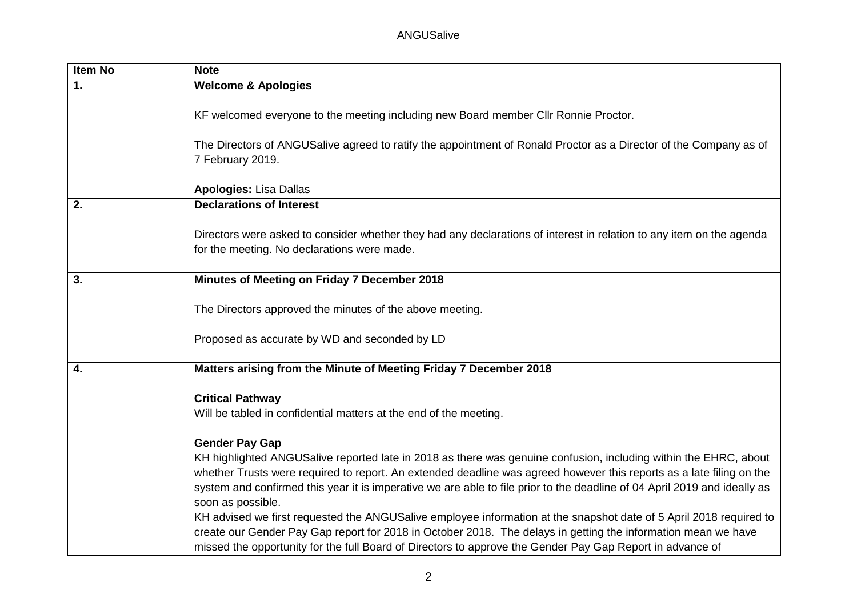# ANGUSalive

| <b>Item No</b>   | <b>Note</b>                                                                                                                                                                                                                                                                                                                                      |
|------------------|--------------------------------------------------------------------------------------------------------------------------------------------------------------------------------------------------------------------------------------------------------------------------------------------------------------------------------------------------|
| 1.               | <b>Welcome &amp; Apologies</b>                                                                                                                                                                                                                                                                                                                   |
|                  | KF welcomed everyone to the meeting including new Board member Cllr Ronnie Proctor.                                                                                                                                                                                                                                                              |
|                  | The Directors of ANGUSalive agreed to ratify the appointment of Ronald Proctor as a Director of the Company as of<br>7 February 2019.                                                                                                                                                                                                            |
|                  | <b>Apologies: Lisa Dallas</b>                                                                                                                                                                                                                                                                                                                    |
| 2.               | <b>Declarations of Interest</b>                                                                                                                                                                                                                                                                                                                  |
|                  | Directors were asked to consider whether they had any declarations of interest in relation to any item on the agenda<br>for the meeting. No declarations were made.                                                                                                                                                                              |
| $\overline{3}$ . | Minutes of Meeting on Friday 7 December 2018                                                                                                                                                                                                                                                                                                     |
|                  | The Directors approved the minutes of the above meeting.                                                                                                                                                                                                                                                                                         |
|                  | Proposed as accurate by WD and seconded by LD                                                                                                                                                                                                                                                                                                    |
| 4.               | Matters arising from the Minute of Meeting Friday 7 December 2018                                                                                                                                                                                                                                                                                |
|                  | <b>Critical Pathway</b>                                                                                                                                                                                                                                                                                                                          |
|                  | Will be tabled in confidential matters at the end of the meeting.                                                                                                                                                                                                                                                                                |
|                  | <b>Gender Pay Gap</b>                                                                                                                                                                                                                                                                                                                            |
|                  | KH highlighted ANGUSalive reported late in 2018 as there was genuine confusion, including within the EHRC, about<br>whether Trusts were required to report. An extended deadline was agreed however this reports as a late filing on the                                                                                                         |
|                  | system and confirmed this year it is imperative we are able to file prior to the deadline of 04 April 2019 and ideally as<br>soon as possible.                                                                                                                                                                                                   |
|                  | KH advised we first requested the ANGUSalive employee information at the snapshot date of 5 April 2018 required to<br>create our Gender Pay Gap report for 2018 in October 2018. The delays in getting the information mean we have<br>missed the opportunity for the full Board of Directors to approve the Gender Pay Gap Report in advance of |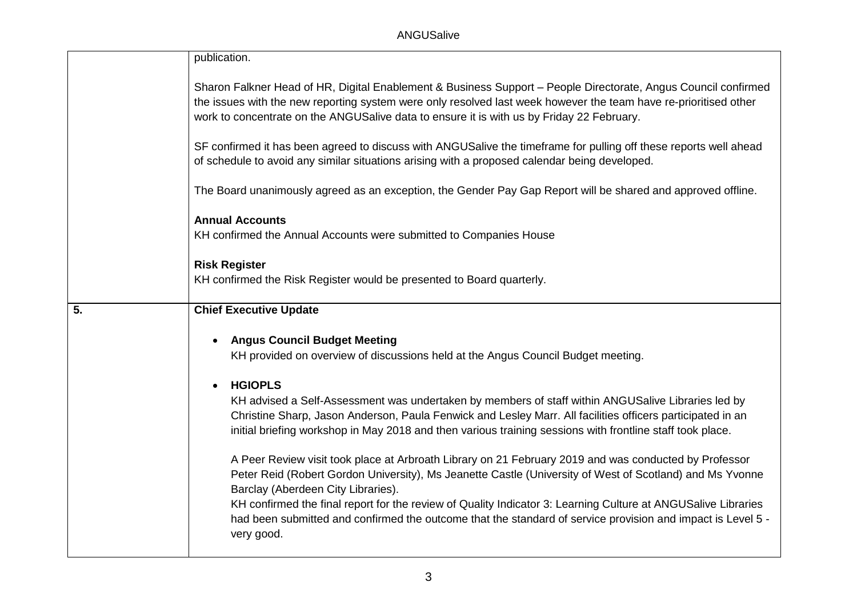|    | publication.                                                                                                                                                                                                                                                                                                                    |
|----|---------------------------------------------------------------------------------------------------------------------------------------------------------------------------------------------------------------------------------------------------------------------------------------------------------------------------------|
|    | Sharon Falkner Head of HR, Digital Enablement & Business Support - People Directorate, Angus Council confirmed<br>the issues with the new reporting system were only resolved last week however the team have re-prioritised other<br>work to concentrate on the ANGUSalive data to ensure it is with us by Friday 22 February. |
|    | SF confirmed it has been agreed to discuss with ANGUSalive the timeframe for pulling off these reports well ahead<br>of schedule to avoid any similar situations arising with a proposed calendar being developed.                                                                                                              |
|    | The Board unanimously agreed as an exception, the Gender Pay Gap Report will be shared and approved offline.                                                                                                                                                                                                                    |
|    | <b>Annual Accounts</b><br>KH confirmed the Annual Accounts were submitted to Companies House                                                                                                                                                                                                                                    |
|    | <b>Risk Register</b><br>KH confirmed the Risk Register would be presented to Board quarterly.                                                                                                                                                                                                                                   |
|    |                                                                                                                                                                                                                                                                                                                                 |
| 5. | <b>Chief Executive Update</b>                                                                                                                                                                                                                                                                                                   |
|    | <b>Angus Council Budget Meeting</b><br>$\bullet$<br>KH provided on overview of discussions held at the Angus Council Budget meeting.                                                                                                                                                                                            |
|    | <b>HGIOPLS</b><br>$\bullet$                                                                                                                                                                                                                                                                                                     |
|    | KH advised a Self-Assessment was undertaken by members of staff within ANGUSalive Libraries led by<br>Christine Sharp, Jason Anderson, Paula Fenwick and Lesley Marr. All facilities officers participated in an<br>initial briefing workshop in May 2018 and then various training sessions with frontline staff took place.   |
|    | A Peer Review visit took place at Arbroath Library on 21 February 2019 and was conducted by Professor<br>Peter Reid (Robert Gordon University), Ms Jeanette Castle (University of West of Scotland) and Ms Yvonne<br>Barclay (Aberdeen City Libraries).                                                                         |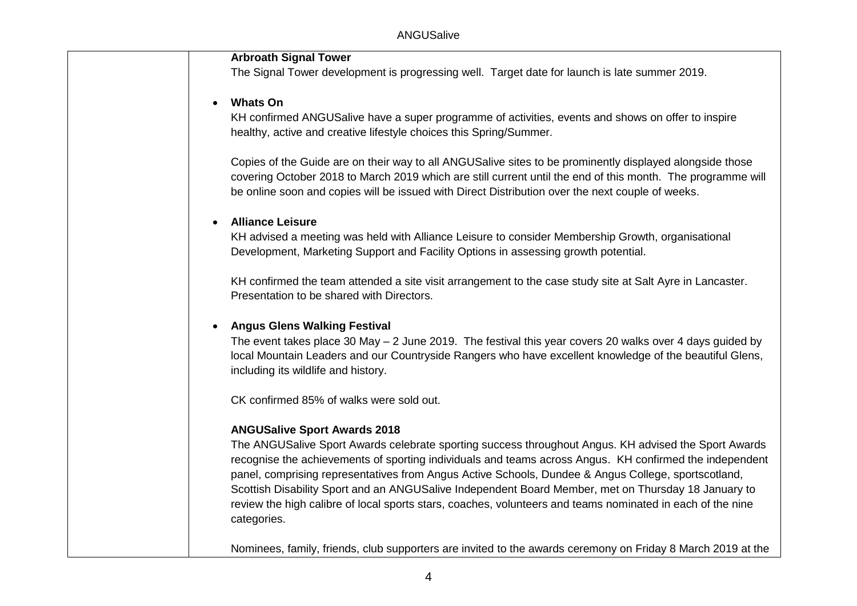## **Arbroath Signal Tower**

The Signal Tower development is progressing well. Target date for launch is late summer 2019.

#### **Whats On**

KH confirmed ANGUSalive have a super programme of activities, events and shows on offer to inspire healthy, active and creative lifestyle choices this Spring/Summer.

Copies of the Guide are on their way to all ANGUSalive sites to be prominently displayed alongside those covering October 2018 to March 2019 which are still current until the end of this month. The programme will be online soon and copies will be issued with Direct Distribution over the next couple of weeks.

#### **Alliance Leisure**

KH advised a meeting was held with Alliance Leisure to consider Membership Growth, organisational Development, Marketing Support and Facility Options in assessing growth potential.

KH confirmed the team attended a site visit arrangement to the case study site at Salt Ayre in Lancaster. Presentation to be shared with Directors.

#### **Angus Glens Walking Festival**

The event takes place 30 May – 2 June 2019. The festival this year covers 20 walks over 4 days guided by local Mountain Leaders and our Countryside Rangers who have excellent knowledge of the beautiful Glens, including its wildlife and history.

CK confirmed 85% of walks were sold out.

## **ANGUSalive Sport Awards 2018**

The ANGUSalive Sport Awards celebrate sporting success throughout Angus. KH advised the Sport Awards recognise the achievements of sporting individuals and teams across Angus. KH confirmed the independent panel, comprising representatives from Angus Active Schools, Dundee & Angus College, sportscotland, Scottish Disability Sport and an ANGUSalive Independent Board Member, met on Thursday 18 January to review the high calibre of local sports stars, coaches, volunteers and teams nominated in each of the nine categories.

Nominees, family, friends, club supporters are invited to the awards ceremony on Friday 8 March 2019 at the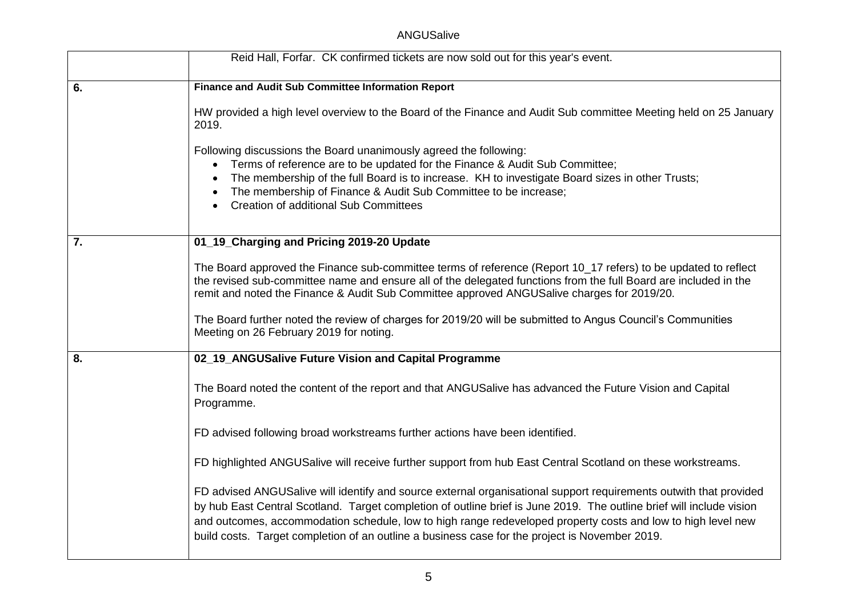## ANGUSalive

|    | Reid Hall, Forfar. CK confirmed tickets are now sold out for this year's event.                                                                                                                                                                                                                                                                                                                                                                             |
|----|-------------------------------------------------------------------------------------------------------------------------------------------------------------------------------------------------------------------------------------------------------------------------------------------------------------------------------------------------------------------------------------------------------------------------------------------------------------|
| 6. | Finance and Audit Sub Committee Information Report                                                                                                                                                                                                                                                                                                                                                                                                          |
|    | HW provided a high level overview to the Board of the Finance and Audit Sub committee Meeting held on 25 January<br>2019.                                                                                                                                                                                                                                                                                                                                   |
|    | Following discussions the Board unanimously agreed the following:<br>Terms of reference are to be updated for the Finance & Audit Sub Committee;<br>The membership of the full Board is to increase. KH to investigate Board sizes in other Trusts;<br>The membership of Finance & Audit Sub Committee to be increase;<br><b>Creation of additional Sub Committees</b>                                                                                      |
| 7. | 01_19_Charging and Pricing 2019-20 Update                                                                                                                                                                                                                                                                                                                                                                                                                   |
|    | The Board approved the Finance sub-committee terms of reference (Report 10_17 refers) to be updated to reflect<br>the revised sub-committee name and ensure all of the delegated functions from the full Board are included in the<br>remit and noted the Finance & Audit Sub Committee approved ANGUSalive charges for 2019/20.                                                                                                                            |
|    | The Board further noted the review of charges for 2019/20 will be submitted to Angus Council's Communities<br>Meeting on 26 February 2019 for noting.                                                                                                                                                                                                                                                                                                       |
| 8. | 02_19_ANGUSalive Future Vision and Capital Programme                                                                                                                                                                                                                                                                                                                                                                                                        |
|    | The Board noted the content of the report and that ANGUSalive has advanced the Future Vision and Capital<br>Programme.                                                                                                                                                                                                                                                                                                                                      |
|    | FD advised following broad workstreams further actions have been identified.                                                                                                                                                                                                                                                                                                                                                                                |
|    | FD highlighted ANGUSalive will receive further support from hub East Central Scotland on these workstreams.                                                                                                                                                                                                                                                                                                                                                 |
|    | FD advised ANGUSalive will identify and source external organisational support requirements outwith that provided<br>by hub East Central Scotland. Target completion of outline brief is June 2019. The outline brief will include vision<br>and outcomes, accommodation schedule, low to high range redeveloped property costs and low to high level new<br>build costs. Target completion of an outline a business case for the project is November 2019. |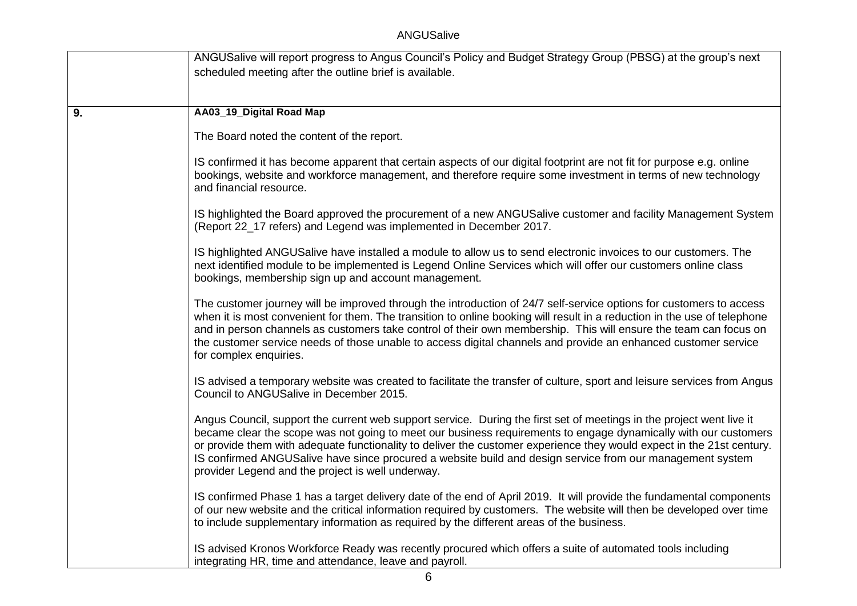|    | ANGUSalive will report progress to Angus Council's Policy and Budget Strategy Group (PBSG) at the group's next<br>scheduled meeting after the outline brief is available.                                                                                                                                                                                                                                                                                                                                                          |  |
|----|------------------------------------------------------------------------------------------------------------------------------------------------------------------------------------------------------------------------------------------------------------------------------------------------------------------------------------------------------------------------------------------------------------------------------------------------------------------------------------------------------------------------------------|--|
| 9. | AA03_19_Digital Road Map                                                                                                                                                                                                                                                                                                                                                                                                                                                                                                           |  |
|    | The Board noted the content of the report.                                                                                                                                                                                                                                                                                                                                                                                                                                                                                         |  |
|    | IS confirmed it has become apparent that certain aspects of our digital footprint are not fit for purpose e.g. online<br>bookings, website and workforce management, and therefore require some investment in terms of new technology<br>and financial resource.                                                                                                                                                                                                                                                                   |  |
|    | IS highlighted the Board approved the procurement of a new ANGUSalive customer and facility Management System<br>(Report 22_17 refers) and Legend was implemented in December 2017.                                                                                                                                                                                                                                                                                                                                                |  |
|    | IS highlighted ANGUSalive have installed a module to allow us to send electronic invoices to our customers. The<br>next identified module to be implemented is Legend Online Services which will offer our customers online class<br>bookings, membership sign up and account management.                                                                                                                                                                                                                                          |  |
|    | The customer journey will be improved through the introduction of 24/7 self-service options for customers to access<br>when it is most convenient for them. The transition to online booking will result in a reduction in the use of telephone<br>and in person channels as customers take control of their own membership. This will ensure the team can focus on<br>the customer service needs of those unable to access digital channels and provide an enhanced customer service<br>for complex enquiries.                    |  |
|    | IS advised a temporary website was created to facilitate the transfer of culture, sport and leisure services from Angus<br>Council to ANGUSalive in December 2015.                                                                                                                                                                                                                                                                                                                                                                 |  |
|    | Angus Council, support the current web support service. During the first set of meetings in the project went live it<br>became clear the scope was not going to meet our business requirements to engage dynamically with our customers<br>or provide them with adequate functionality to deliver the customer experience they would expect in the 21st century.<br>IS confirmed ANGUSalive have since procured a website build and design service from our management system<br>provider Legend and the project is well underway. |  |
|    | IS confirmed Phase 1 has a target delivery date of the end of April 2019. It will provide the fundamental components<br>of our new website and the critical information required by customers. The website will then be developed over time<br>to include supplementary information as required by the different areas of the business.                                                                                                                                                                                            |  |
|    | IS advised Kronos Workforce Ready was recently procured which offers a suite of automated tools including<br>integrating HR, time and attendance, leave and payroll.                                                                                                                                                                                                                                                                                                                                                               |  |